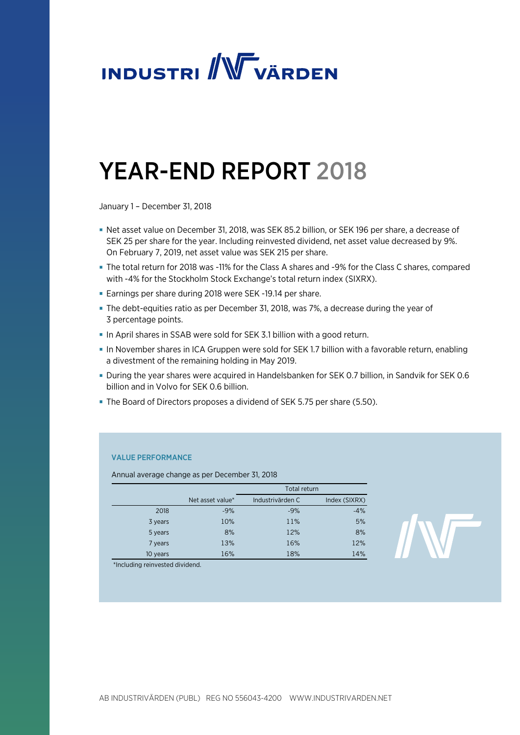

# YEAR-END REPORT 2018

January 1 – December 31, 2018

- Net asset value on December 31, 2018, was SEK 85.2 billion, or SEK 196 per share, a decrease of SEK 25 per share for the year. Including reinvested dividend, net asset value decreased by 9%. On February 7, 2019, net asset value was SEK 215 per share.
- The total return for 2018 was -11% for the Class A shares and -9% for the Class C shares, compared with -4% for the Stockholm Stock Exchange's total return index (SIXRX).
- Earnings per share during 2018 were SEK -19.14 per share.
- The debt-equities ratio as per December 31, 2018, was 7%, a decrease during the year of 3 percentage points.
- In April shares in SSAB were sold for SEK 3.1 billion with a good return.
- In November shares in ICA Gruppen were sold for SEK 1.7 billion with a favorable return, enabling a divestment of the remaining holding in May 2019.
- During the year shares were acquired in Handelsbanken for SEK 0.7 billion, in Sandvik for SEK 0.6 billion and in Volvo for SEK 0.6 billion.
- The Board of Directors proposes a dividend of SEK 5.75 per share (5.50).

#### VALUE PERFORMANCE

Annual average change as per December 31, 2018

|          |                  | Total return     |               |
|----------|------------------|------------------|---------------|
|          | Net asset value* | Industrivärden C | Index (SIXRX) |
| 2018     | $-9%$            | $-9%$            | $-4%$         |
| 3 years  | 10%              | 11%              | 5%            |
| 5 years  | 8%               | 12%              | 8%            |
| 7 years  | 13%              | 16%              | 12%           |
| 10 years | 16%              | 18%              | 14%           |

\*Including reinvested dividend.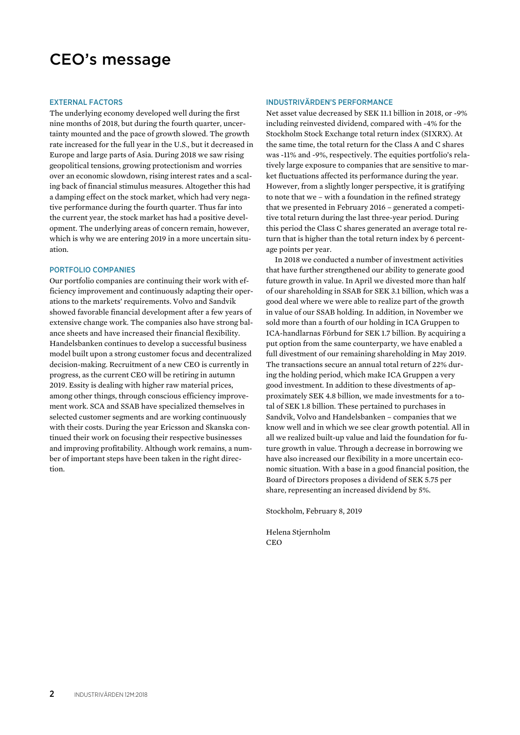### CEO's message

#### EXTERNAL FACTORS

The underlying economy developed well during the first nine months of 2018, but during the fourth quarter, uncertainty mounted and the pace of growth slowed. The growth rate increased for the full year in the U.S., but it decreased in Europe and large parts of Asia. During 2018 we saw rising geopolitical tensions, growing protectionism and worries over an economic slowdown, rising interest rates and a scaling back of financial stimulus measures. Altogether this had a damping effect on the stock market, which had very negative performance during the fourth quarter. Thus far into the current year, the stock market has had a positive development. The underlying areas of concern remain, however, which is why we are entering 2019 in a more uncertain situation.

#### PORTFOLIO COMPANIES

Our portfolio companies are continuing their work with efficiency improvement and continuously adapting their operations to the markets' requirements. Volvo and Sandvik showed favorable financial development after a few years of extensive change work. The companies also have strong balance sheets and have increased their financial flexibility. Handelsbanken continues to develop a successful business model built upon a strong customer focus and decentralized decision-making. Recruitment of a new CEO is currently in progress, as the current CEO will be retiring in autumn 2019. Essity is dealing with higher raw material prices, among other things, through conscious efficiency improvement work. SCA and SSAB have specialized themselves in selected customer segments and are working continuously with their costs. During the year Ericsson and Skanska continued their work on focusing their respective businesses and improving profitability. Although work remains, a number of important steps have been taken in the right direction.

#### INDUSTRIVÄRDEN'S PERFORMANCE

Net asset value decreased by SEK 11.1 billion in 2018, or -9% including reinvested dividend, compared with -4% for the Stockholm Stock Exchange total return index (SIXRX). At the same time, the total return for the Class A and C shares was -11% and -9%, respectively. The equities portfolio's relatively large exposure to companies that are sensitive to market fluctuations affected its performance during the year. However, from a slightly longer perspective, it is gratifying to note that we – with a foundation in the refined strategy that we presented in February 2016 – generated a competitive total return during the last three-year period. During this period the Class C shares generated an average total return that is higher than the total return index by 6 percentage points per year.

 In 2018 we conducted a number of investment activities that have further strengthened our ability to generate good future growth in value. In April we divested more than half of our shareholding in SSAB for SEK 3.1 billion, which was a good deal where we were able to realize part of the growth in value of our SSAB holding. In addition, in November we sold more than a fourth of our holding in ICA Gruppen to ICA-handlarnas Förbund for SEK 1.7 billion. By acquiring a put option from the same counterparty, we have enabled a full divestment of our remaining shareholding in May 2019. The transactions secure an annual total return of 22% during the holding period, which make ICA Gruppen a very good investment. In addition to these divestments of approximately SEK 4.8 billion, we made investments for a total of SEK 1.8 billion. These pertained to purchases in Sandvik, Volvo and Handelsbanken – companies that we know well and in which we see clear growth potential. All in all we realized built-up value and laid the foundation for future growth in value. Through a decrease in borrowing we have also increased our flexibility in a more uncertain economic situation. With a base in a good financial position, the Board of Directors proposes a dividend of SEK 5.75 per share, representing an increased dividend by 5%.

Stockholm, February 8, 2019

Helena Stjernholm **CEO**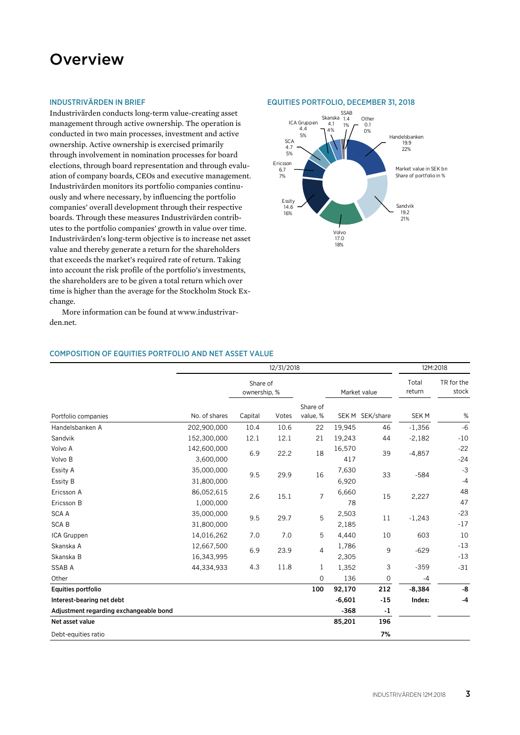### **Overview**

#### INDUSTRIVÄRDEN IN BRIEF

Industrivärden conducts long-term value-creating asset management through active ownership. The operation is conducted in two main processes, investment and active ownership. Active ownership is exercised primarily through involvement in nomination processes for board elections, through board representation and through evaluation of company boards, CEOs and executive management. Industrivärden monitors its portfolio companies continuously and where necessary, by influencing the portfolio companies' overall development through their respective boards. Through these measures Industrivärden contributes to the portfolio companies' growth in value over time. Industrivärden's long-term objective is to increase net asset value and thereby generate a return for the shareholders that exceeds the market's required rate of return. Taking into account the risk profile of the portfolio's investments, the shareholders are to be given a total return which over time is higher than the average for the Stockholm Stock Exchange.

More information can be found at www.industrivarden.net.

#### COMPOSITION OF EQUITIES PORTFOLIO AND NET ASSET VALUE

|                                        | 12/31/2018    |                          |             |                | 12M:2018 |                 |                  |                     |       |
|----------------------------------------|---------------|--------------------------|-------------|----------------|----------|-----------------|------------------|---------------------|-------|
|                                        |               | Share of<br>ownership, % |             |                |          | Market value    | Total<br>return  | TR for the<br>stock |       |
|                                        |               |                          |             | Share of       |          |                 |                  |                     |       |
| Portfolio companies                    | No. of shares | Capital                  | Votes       | value, %       |          | SEK M SEK/share | SEK <sub>M</sub> | $\%$                |       |
| Handelsbanken A                        | 202,900,000   | 10.4                     | 10.6        | 22             | 19,945   | 46              | $-1,356$         | $-6$                |       |
| Sandvik                                | 152,300,000   | 12.1                     | 12.1        | 21             | 19,243   | 44              | $-2,182$         | $-10$               |       |
| Volvo A                                | 142,600,000   | 6.9<br>22.2<br>18        | 16,570      | 39             | $-4,857$ | $-22$           |                  |                     |       |
| Volvo B                                | 3,600,000     |                          |             |                | 417      |                 |                  | $-24$               |       |
| Essity A                               | 35,000,000    | 9.5<br>29.9<br>16        |             | 7,630          | 33       | $-584$          | $-3$             |                     |       |
| Essity B                               | 31,800,000    |                          | 6,920       |                |          | $-4$            |                  |                     |       |
| Ericsson A                             | 86,052,615    | 2.6<br>15.1              |             | $\overline{7}$ | 6,660    | 15              | 2,227            | 48                  |       |
| Ericsson B                             | 1,000,000     |                          |             | 78             |          |                 | 47               |                     |       |
| <b>SCA A</b>                           | 35,000,000    |                          | 9.5<br>29.7 |                | 5        | 2,503           | 11               | $-1,243$            | $-23$ |
| <b>SCAB</b>                            | 31,800,000    |                          |             |                | 2,185    |                 |                  | $-17$               |       |
| ICA Gruppen                            | 14,016,262    | 7.0                      | 7.0         | 5              | 4,440    | 10              | 603              | 10                  |       |
| Skanska A                              | 12,667,500    | 6.9                      | 23.9        | 4              | 1,786    | 9               | $-629$           | $-13$               |       |
| Skanska B                              | 16,343,995    |                          |             |                | 2,305    |                 |                  | $-13$               |       |
| <b>SSAB A</b>                          | 44,334,933    | 4.3                      | 11.8        | 1              | 1,352    | 3               | $-359$           | $-31$               |       |
| Other                                  |               |                          |             | 0              | 136      | $\mathbf 0$     | $-4$             |                     |       |
| Equities portfolio                     |               |                          |             | 100            | 92,170   | 212             | $-8,384$         | -8                  |       |
| Interest-bearing net debt              |               |                          |             |                | $-6,601$ | $-15$           | Index:           | $-4$                |       |
| Adjustment regarding exchangeable bond |               |                          |             |                | $-368$   | $-1$            |                  |                     |       |
| Net asset value                        |               |                          |             |                | 85,201   | 196             |                  |                     |       |
| Debt-equities ratio                    |               |                          |             |                |          | 7%              |                  |                     |       |

#### EQUITIES PORTFOLIO, DECEMBER 31, 2018

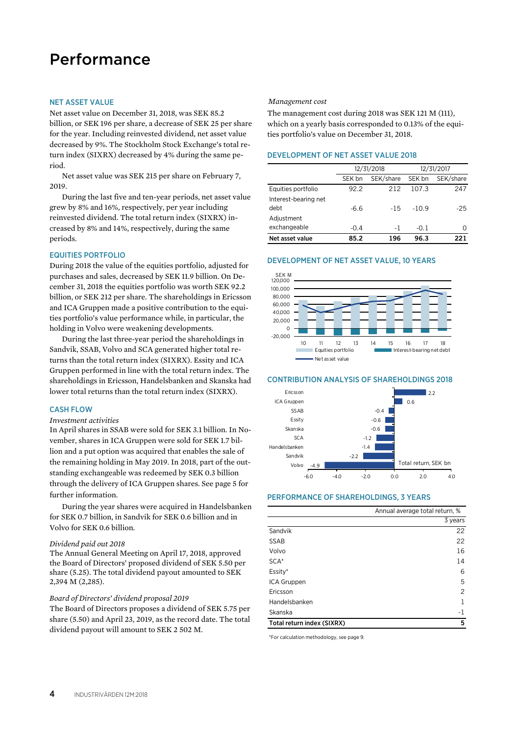### Performance

#### NET ASSET VALUE

Net asset value on December 31, 2018, was SEK 85.2 billion, or SEK 196 per share, a decrease of SEK 25 per share for the year. Including reinvested dividend, net asset value decreased by 9%. The Stockholm Stock Exchange's total return index (SIXRX) decreased by 4% during the same period.

Net asset value was SEK 215 per share on February 7, 2019.

During the last five and ten-year periods, net asset value grew by 8% and 16%, respectively, per year including reinvested dividend. The total return index (SIXRX) increased by 8% and 14%, respectively, during the same periods.

#### EQUITIES PORTFOLIO

During 2018 the value of the equities portfolio, adjusted for purchases and sales, decreased by SEK 11.9 billion. On December 31, 2018 the equities portfolio was worth SEK 92.2 billion, or SEK 212 per share. The shareholdings in Ericsson and ICA Gruppen made a positive contribution to the equities portfolio's value performance while, in particular, the holding in Volvo were weakening developments.

During the last three-year period the shareholdings in Sandvik, SSAB, Volvo and SCA generated higher total returns than the total return index (SIXRX). Essity and ICA Gruppen performed in line with the total return index. The shareholdings in Ericsson, Handelsbanken and Skanska had lower total returns than the total return index (SIXRX).

#### CASH FLOW

#### *Investment activities*

In April shares in SSAB were sold for SEK 3.1 billion. In November, shares in ICA Gruppen were sold for SEK 1.7 billion and a put option was acquired that enables the sale of the remaining holding in May 2019. In 2018, part of the outstanding exchangeable was redeemed by SEK 0.3 billion through the delivery of ICA Gruppen shares. See page 5 for further information.

During the year shares were acquired in Handelsbanken for SEK 0.7 billion, in Sandvik for SEK 0.6 billion and in Volvo for SEK 0.6 billion*.* 

#### *Dividend paid out 2018*

The Annual General Meeting on April 17, 2018, approved the Board of Directors' proposed dividend of SEK 5.50 per share (5.25). The total dividend payout amounted to SEK 2,394 M (2,285).

#### *Board of Directors' dividend proposal 2019*

The Board of Directors proposes a dividend of SEK 5.75 per share (5.50) and April 23, 2019, as the record date. The total dividend payout will amount to SEK 2 502 M.

#### *Management cost*

The management cost during 2018 was SEK 121 M (111), which on a yearly basis corresponded to 0.13% of the equities portfolio's value on December 31, 2018.

#### DEVELOPMENT OF NET ASSET VALUE 2018

|                              |        | 12/31/2018 | 12/31/2017 |           |  |
|------------------------------|--------|------------|------------|-----------|--|
|                              | SEK bn | SEK/share  | SEK bn     | SEK/share |  |
| Equities portfolio           | 92.2   | 212        | 107.3      | 247       |  |
| Interest-bearing net<br>debt | $-6.6$ | $-15$      | $-10.9$    | $-25$     |  |
| Adiustment                   |        |            |            |           |  |
| exchangeable                 | $-0.4$ | - 1        | $-0.1$     |           |  |
| Net asset value              | 85.2   | 196        | 96.3       | 221       |  |

#### DEVELOPMENT OF NET ASSET VALUE, 10 YEARS



#### CONTRIBUTION ANALYSIS OF SHAREHOLDINGS 2018



#### PERFORMANCE OF SHAREHOLDINGS, 3 YEARS

|                            | Annual average total return, % |
|----------------------------|--------------------------------|
|                            | 3 years                        |
| Sandvik                    | 22                             |
| <b>SSAB</b>                | 22                             |
| Volvo                      | 16                             |
| SCA <sup>*</sup>           | 14                             |
| Essity*                    | 6                              |
| ICA Gruppen                | 5                              |
| Ericsson                   | 2                              |
| Handelsbanken              | 1                              |
| Skanska                    | $-1$                           |
| Total return index (SIXRX) | 5                              |

\*For calculation methodology, see page 9.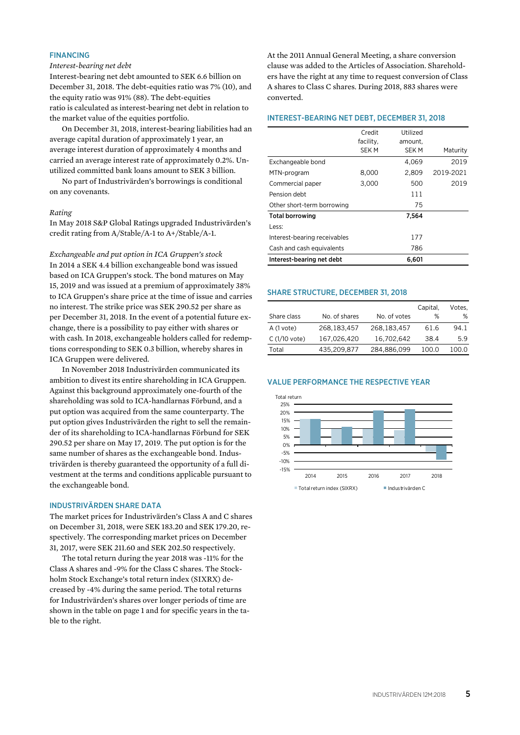#### FINANCING

#### *Interest-bearing net debt*

Interest-bearing net debt amounted to SEK 6.6 billion on December 31, 2018. The debt-equities ratio was 7% (10), and the equity ratio was 91% (88). The debt-equities ratio is calculated as interest-bearing net debt in relation to the market value of the equities portfolio.

On December 31, 2018, interest-bearing liabilities had an average capital duration of approximately 1 year, an average interest duration of approximately 4 months and carried an average interest rate of approximately 0.2%. Unutilized committed bank loans amount to SEK 3 billion.

No part of Industrivärden's borrowings is conditional on any covenants.

#### *Rating*

In May 2018 S&P Global Ratings upgraded Industrivärden's credit rating from A/Stable/A-1 to A+/Stable/A-1.

*Exchangeable and put option in ICA Gruppen's stock*  In 2014 a SEK 4.4 billion exchangeable bond was issued based on ICA Gruppen's stock. The bond matures on May 15, 2019 and was issued at a premium of approximately 38% to ICA Gruppen's share price at the time of issue and carries no interest. The strike price was SEK 290.52 per share as per December 31, 2018. In the event of a potential future exchange, there is a possibility to pay either with shares or with cash. In 2018, exchangeable holders called for redemptions corresponding to SEK 0.3 billion, whereby shares in ICA Gruppen were delivered.

In November 2018 Industrivärden communicated its ambition to divest its entire shareholding in ICA Gruppen. Against this background approximately one-fourth of the shareholding was sold to ICA-handlarnas Förbund, and a put option was acquired from the same counterparty. The put option gives Industrivärden the right to sell the remainder of its shareholding to ICA-handlarnas Förbund for SEK 290.52 per share on May 17, 2019. The put option is for the same number of shares as the exchangeable bond. Industrivärden is thereby guaranteed the opportunity of a full divestment at the terms and conditions applicable pursuant to the exchangeable bond.

#### INDUSTRIVÄRDEN SHARE DATA

The market prices for Industrivärden's Class A and C shares on December 31, 2018, were SEK 183.20 and SEK 179.20, respectively. The corresponding market prices on December 31, 2017, were SEK 211.60 and SEK 202.50 respectively.

The total return during the year 2018 was -11% for the Class A shares and -9% for the Class C shares. The Stockholm Stock Exchange's total return index (SIXRX) decreased by -4% during the same period. The total returns for Industrivärden's shares over longer periods of time are shown in the table on page 1 and for specific years in the table to the right.

At the 2011 Annual General Meeting, a share conversion clause was added to the Articles of Association. Shareholders have the right at any time to request conversion of Class A shares to Class C shares. During 2018, 883 shares were converted.

#### INTEREST-BEARING NET DEBT, DECEMBER 31, 2018

|                              | Credit<br>facility, | Utilized<br>amount. |           |
|------------------------------|---------------------|---------------------|-----------|
|                              | SEK M               | SEK M               | Maturity  |
| Exchangeable bond            |                     | 4.069               | 2019      |
| MTN-program                  | 8,000               | 2,809               | 2019-2021 |
| Commercial paper             | 3,000               | 500                 | 2019      |
| Pension debt                 |                     | 111                 |           |
| Other short-term borrowing   |                     | 75                  |           |
| <b>Total borrowing</b>       |                     | 7,564               |           |
| Less:                        |                     |                     |           |
| Interest-bearing receivables |                     | 177                 |           |
| Cash and cash equivalents    |                     | 786                 |           |
| Interest-bearing net debt    |                     | 6.601               |           |

#### SHARE STRUCTURE, DECEMBER 31, 2018

|                |               |              | Capital, | Votes. |
|----------------|---------------|--------------|----------|--------|
| Share class    | No. of shares | No. of votes | %        | %      |
| A (1 vote)     | 268.183.457   | 268.183.457  | 61.6     | 94.1   |
| $C(1/10$ vote) | 167,026,420   | 16,702,642   | 38.4     | 5.9    |
| Total          | 435,209,877   | 284,886,099  | 100.0    | 100.0  |

#### VALUE PERFORMANCE THE RESPECTIVE YEAR

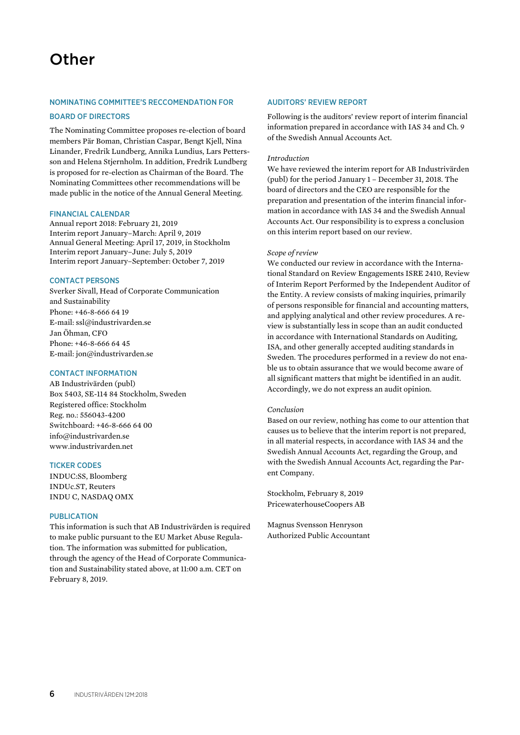#### NOMINATING COMMITTEE'S RECCOMENDATION FOR

#### BOARD OF DIRECTORS

The Nominating Committee proposes re-election of board members Pär Boman, Christian Caspar, Bengt Kjell, Nina Linander, Fredrik Lundberg, Annika Lundius, Lars Pettersson and Helena Stiernholm. In addition, Fredrik Lundberg is proposed for re-election as Chairman of the Board. The Nominating Committees other recommendations will be made public in the notice of the Annual General Meeting.

#### FINANCIAL CALENDAR

Annual report 2018: February 21, 2019 Interim report January–March: April 9, 2019 Annual General Meeting: April 17, 2019, in Stockholm Interim report January–June: July 5, 2019 Interim report January–September: October 7, 2019

#### CONTACT PERSONS

Sverker Sivall, Head of Corporate Communication and Sustainability Phone: +46-8-666 64 19 E-mail: ssl@industrivarden.se Jan Öhman, CFO Phone: +46-8-666 64 45 E-mail: jon@industrivarden.se

#### CONTACT INFORMATION

AB Industrivärden (publ) Box 5403, SE-114 84 Stockholm, Sweden Registered office: Stockholm Reg. no.: 556043-4200 Switchboard: +46-8-666 64 00 info@industrivarden.se www.industrivarden.net

#### TICKER CODES

INDUC:SS, Bloomberg INDUc.ST, Reuters INDU C, NASDAQ OMX

#### PUBLICATION

This information is such that AB Industrivärden is required to make public pursuant to the EU Market Abuse Regulation. The information was submitted for publication, through the agency of the Head of Corporate Communication and Sustainability stated above, at 11:00 a.m. CET on February 8, 2019.

#### AUDITORS' REVIEW REPORT

Following is the auditors' review report of interim financial information prepared in accordance with IAS 34 and Ch. 9 of the Swedish Annual Accounts Act.

#### *Introduction*

We have reviewed the interim report for AB Industrivärden (publ) for the period January 1 – December 31, 2018. The board of directors and the CEO are responsible for the preparation and presentation of the interim financial information in accordance with IAS 34 and the Swedish Annual Accounts Act. Our responsibility is to express a conclusion on this interim report based on our review.

#### *Scope of review*

We conducted our review in accordance with the International Standard on Review Engagements ISRE 2410, Review of Interim Report Performed by the Independent Auditor of the Entity. A review consists of making inquiries, primarily of persons responsible for financial and accounting matters, and applying analytical and other review procedures. A review is substantially less in scope than an audit conducted in accordance with International Standards on Auditing, ISA, and other generally accepted auditing standards in Sweden. The procedures performed in a review do not enable us to obtain assurance that we would become aware of all significant matters that might be identified in an audit. Accordingly, we do not express an audit opinion.

#### *Conclusion*

Based on our review, nothing has come to our attention that causes us to believe that the interim report is not prepared, in all material respects, in accordance with IAS 34 and the Swedish Annual Accounts Act, regarding the Group, and with the Swedish Annual Accounts Act, regarding the Parent Company.

Stockholm, February 8, 2019 PricewaterhouseCoopers AB

Magnus Svensson Henryson Authorized Public Accountant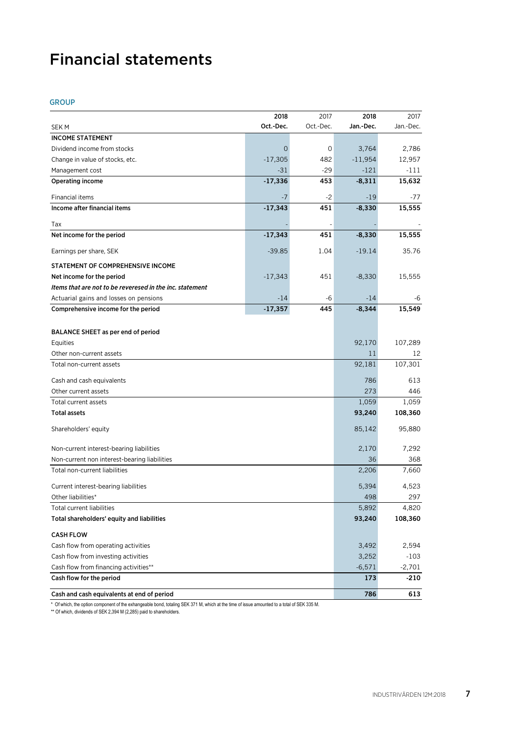## Financial statements

#### GROUP

|                                                          | 2018           | 2017      | 2018      | 2017      |
|----------------------------------------------------------|----------------|-----------|-----------|-----------|
| <b>SEKM</b>                                              | Oct.-Dec.      | Oct.-Dec. | Jan.-Dec. | Jan.-Dec. |
| <b>INCOME STATEMENT</b>                                  |                |           |           |           |
| Dividend income from stocks                              | $\overline{0}$ | 0         | 3,764     | 2,786     |
| Change in value of stocks, etc.                          | $-17,305$      | 482       | $-11,954$ | 12,957    |
| Management cost                                          | $-31$          | $-29$     | $-121$    | $-111$    |
| <b>Operating income</b>                                  | $-17,336$      | 453       | $-8,311$  | 15,632    |
| Financial items                                          | $-7$           | $-2$      | $-19$     | $-77$     |
| Income after financial items                             | $-17,343$      | 451       | $-8,330$  | 15,555    |
| Tax                                                      |                |           |           |           |
| Net income for the period                                | $-17,343$      | 451       | $-8,330$  | 15,555    |
| Earnings per share, SEK                                  | $-39.85$       | 1.04      | $-19.14$  | 35.76     |
| STATEMENT OF COMPREHENSIVE INCOME                        |                |           |           |           |
| Net income for the period                                | $-17,343$      | 451       | $-8,330$  | 15,555    |
| Items that are not to be reveresed in the inc. statement |                |           |           |           |
| Actuarial gains and losses on pensions                   | $-14$          | -6        | $-14$     | -6        |
| Comprehensive income for the period                      | $-17,357$      | 445       | $-8,344$  | 15,549    |
|                                                          |                |           |           |           |
| BALANCE SHEET as per end of period                       |                |           |           |           |
| Equities                                                 |                |           | 92,170    | 107,289   |
| Other non-current assets                                 |                |           | 11        | 12        |
| Total non-current assets                                 |                |           | 92,181    | 107,301   |
| Cash and cash equivalents                                |                |           | 786       | 613       |
| Other current assets                                     |                |           | 273       | 446       |
| Total current assets                                     |                |           | 1,059     | 1,059     |
| <b>Total assets</b>                                      |                |           | 93,240    | 108,360   |
| Shareholders' equity                                     |                |           | 85,142    | 95,880    |
| Non-current interest-bearing liabilities                 |                |           | 2,170     | 7,292     |
| Non-current non interest-bearing liabilities             |                |           | 36        | 368       |
| Total non-current liabilities                            |                |           | 2,206     | 7,660     |
| Current interest-bearing liabilities                     |                |           | 5,394     | 4,523     |
| Other liabilities*                                       |                |           | 498       | 297       |
| Total current liabilities                                |                |           | 5,892     | 4,820     |
| Total shareholders' equity and liabilities               |                |           | 93,240    | 108,360   |
| <b>CASH FLOW</b>                                         |                |           |           |           |
| Cash flow from operating activities                      |                |           | 3,492     | 2,594     |
| Cash flow from investing activities                      |                |           | 3,252     | $-103$    |
| Cash flow from financing activities**                    |                |           | $-6,571$  | $-2,701$  |
| Cash flow for the period                                 |                |           | 173       | $-210$    |
| Cash and cash equivalents at end of period               |                |           | 786       | 613       |

\* Of which, the option component of the exhangeable bond, totaling SEK 371 M, which at the time of issue amounted to a total of SEK 335 M.

\*\* Of which, dividends of SEK 2,394 M (2,285) paid to shareholders.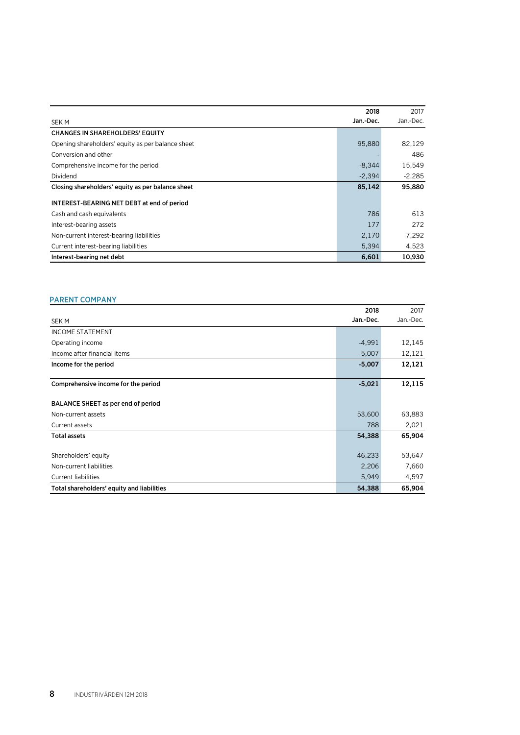|                                                   | 2018      | 2017      |
|---------------------------------------------------|-----------|-----------|
| <b>SEKM</b>                                       | Jan.-Dec. | Jan.-Dec. |
| <b>CHANGES IN SHAREHOLDERS' EQUITY</b>            |           |           |
| Opening shareholders' equity as per balance sheet | 95,880    | 82,129    |
| Conversion and other                              |           | 486       |
| Comprehensive income for the period               | $-8,344$  | 15,549    |
| Dividend                                          | $-2,394$  | $-2,285$  |
| Closing shareholders' equity as per balance sheet | 85,142    | 95,880    |
| INTEREST-BEARING NET DEBT at end of period        |           |           |
| Cash and cash equivalents                         | 786       | 613       |
| Interest-bearing assets                           | 177       | 272       |
| Non-current interest-bearing liabilities          | 2,170     | 7.292     |
| Current interest-bearing liabilities              | 5,394     | 4,523     |
| Interest-bearing net debt                         | 6.601     | 10.930    |

#### PARENT COMPANY

|                                            | 2018      | 2017      |
|--------------------------------------------|-----------|-----------|
| <b>SEKM</b>                                | Jan.-Dec. | Jan.-Dec. |
| <b>INCOME STATEMENT</b>                    |           |           |
| Operating income                           | $-4,991$  | 12,145    |
| Income after financial items               | $-5,007$  | 12,121    |
| Income for the period                      | $-5,007$  | 12,121    |
| Comprehensive income for the period        | $-5,021$  | 12,115    |
| BALANCE SHEET as per end of period         |           |           |
| Non-current assets                         | 53,600    | 63,883    |
| Current assets                             | 788       | 2,021     |
| <b>Total assets</b>                        | 54,388    | 65,904    |
| Shareholders' equity                       | 46,233    | 53,647    |
| Non-current liabilities                    | 2,206     | 7,660     |
| <b>Current liabilities</b>                 | 5,949     | 4,597     |
| Total shareholders' equity and liabilities | 54,388    | 65,904    |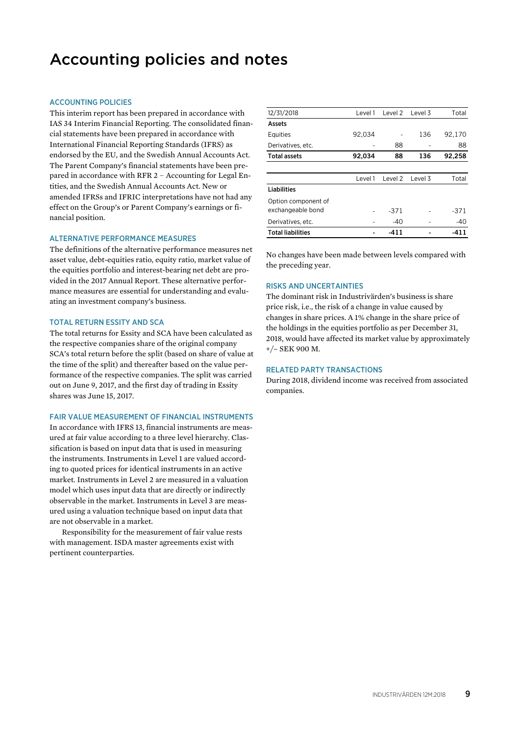### Accounting policies and notes

#### ACCOUNTING POLICIES

This interim report has been prepared in accordance with IAS 34 Interim Financial Reporting. The consolidated financial statements have been prepared in accordance with International Financial Reporting Standards (IFRS) as endorsed by the EU, and the Swedish Annual Accounts Act. The Parent Company's financial statements have been prepared in accordance with RFR 2 – Accounting for Legal Entities, and the Swedish Annual Accounts Act. New or amended IFRSs and IFRIC interpretations have not had any effect on the Group's or Parent Company's earnings or financial position.

#### ALTERNATIVE PERFORMANCE MEASURES

The definitions of the alternative performance measures net asset value, debt-equities ratio, equity ratio, market value of the equities portfolio and interest-bearing net debt are provided in the 2017 Annual Report. These alternative performance measures are essential for understanding and evaluating an investment company's business.

#### TOTAL RETURN ESSITY AND SCA

The total returns for Essity and SCA have been calculated as the respective companies share of the original company SCA's total return before the split (based on share of value at the time of the split) and thereafter based on the value performance of the respective companies. The split was carried out on June 9, 2017, and the first day of trading in Essity shares was June 15, 2017.

#### FAIR VALUE MEASUREMENT OF FINANCIAL INSTRUMENTS

In accordance with IFRS 13, financial instruments are measured at fair value according to a three level hierarchy. Classification is based on input data that is used in measuring the instruments. Instruments in Level 1 are valued according to quoted prices for identical instruments in an active market. Instruments in Level 2 are measured in a valuation model which uses input data that are directly or indirectly observable in the market. Instruments in Level 3 are measured using a valuation technique based on input data that are not observable in a market.

Responsibility for the measurement of fair value rests with management. ISDA master agreements exist with pertinent counterparties.

| 12/31/2018               | Level 1 | Level 2 | Level 3 | Total  |
|--------------------------|---------|---------|---------|--------|
| Assets                   |         |         |         |        |
| Equities                 | 92,034  |         | 136     | 92,170 |
| Derivatives, etc.        |         | 88      |         | 88     |
| <b>Total assets</b>      | 92,034  | 88      | 136     | 92,258 |
|                          |         |         |         |        |
|                          | Level 1 | Level 2 | Level 3 | Total  |
| <b>Liabilities</b>       |         |         |         |        |
| Option component of      |         |         |         |        |
| exchangeable bond        |         | -371    |         | $-371$ |
| Derivatives, etc.        |         | $-40$   |         | $-40$  |
| <b>Total liabilities</b> |         | -411    |         | -411   |

No changes have been made between levels compared with the preceding year.

#### RISKS AND UNCERTAINTIES

The dominant risk in Industrivärden's business is share price risk, i.e., the risk of a change in value caused by changes in share prices. A 1% change in the share price of the holdings in the equities portfolio as per December 31, 2018, would have affected its market value by approximately +/– SEK 900 M.

#### RELATED PARTY TRANSACTIONS

During 2018, dividend income was received from associated companies.